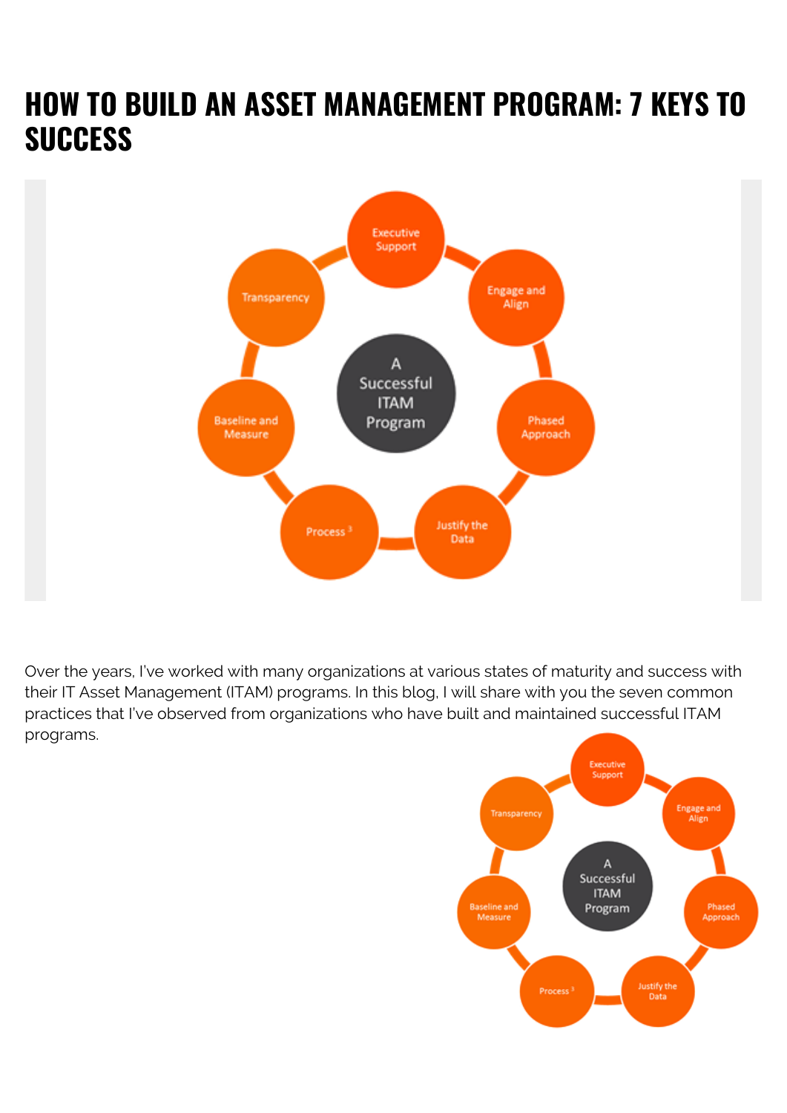## **HOW TO BUILD AN ASSET MANAGEMENT PROGRAM: 7 KEYS TO SUCCESS**



Over the years, I've worked with many organizations at various states of maturity and success with their IT Asset Management (ITAM) programs. In this blog, I will share with you the seven common practices that I've observed from organizations who have built and maintained successful ITAM programs.

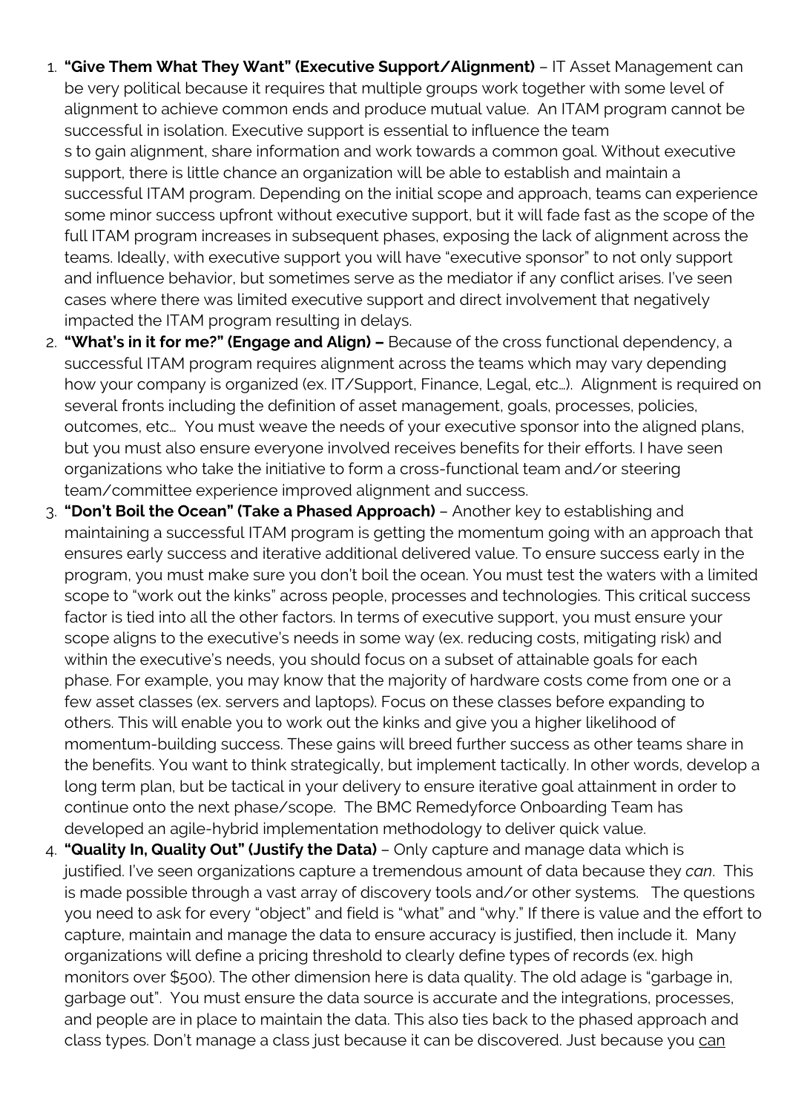- 1. **"Give Them What They Want" (Executive Support/Alignment)** IT Asset Management can be very political because it requires that multiple groups work together with some level of alignment to achieve common ends and produce mutual value. An ITAM program cannot be successful in isolation. Executive support is essential to influence the team s to gain alignment, share information and work towards a common goal. Without executive support, there is little chance an organization will be able to establish and maintain a successful ITAM program. Depending on the initial scope and approach, teams can experience some minor success upfront without executive support, but it will fade fast as the scope of the full ITAM program increases in subsequent phases, exposing the lack of alignment across the teams. Ideally, with executive support you will have "executive sponsor" to not only support and influence behavior, but sometimes serve as the mediator if any conflict arises. I've seen cases where there was limited executive support and direct involvement that negatively impacted the ITAM program resulting in delays.
- 2. **"What's in it for me?" (Engage and Align)** Because of the cross functional dependency, a successful ITAM program requires alignment across the teams which may vary depending how your company is organized (ex. IT/Support, Finance, Legal, etc…). Alignment is required on several fronts including the definition of asset management, goals, processes, policies, outcomes, etc… You must weave the needs of your executive sponsor into the aligned plans, but you must also ensure everyone involved receives benefits for their efforts. I have seen organizations who take the initiative to form a cross-functional team and/or steering team/committee experience improved alignment and success.
- 3. **"Don't Boil the Ocean" (Take a Phased Approach)**  Another key to establishing and maintaining a successful ITAM program is getting the momentum going with an approach that ensures early success and iterative additional delivered value. To ensure success early in the program, you must make sure you don't boil the ocean. You must test the waters with a limited scope to "work out the kinks" across people, processes and technologies. This critical success factor is tied into all the other factors. In terms of executive support, you must ensure your scope aligns to the executive's needs in some way (ex. reducing costs, mitigating risk) and within the executive's needs, you should focus on a subset of attainable goals for each phase. For example, you may know that the majority of hardware costs come from one or a few asset classes (ex. servers and laptops). Focus on these classes before expanding to others. This will enable you to work out the kinks and give you a higher likelihood of momentum-building success. These gains will breed further success as other teams share in the benefits. You want to think strategically, but implement tactically. In other words, develop a long term plan, but be tactical in your delivery to ensure iterative goal attainment in order to continue onto the next phase/scope. The BMC Remedyforce Onboarding Team has developed an agile-hybrid implementation methodology to deliver quick value.
- 4. **"Quality In, Quality Out" (Justify the Data)**  Only capture and manage data which is justified. I've seen organizations capture a tremendous amount of data because they *can*. This is made possible through a vast array of discovery tools and/or other systems. The questions you need to ask for every "object" and field is "what" and "why." If there is value and the effort to capture, maintain and manage the data to ensure accuracy is justified, then include it. Many organizations will define a pricing threshold to clearly define types of records (ex. high monitors over \$500). The other dimension here is data quality. The old adage is "garbage in, garbage out". You must ensure the data source is accurate and the integrations, processes, and people are in place to maintain the data. This also ties back to the phased approach and class types. Don't manage a class just because it can be discovered. Just because you can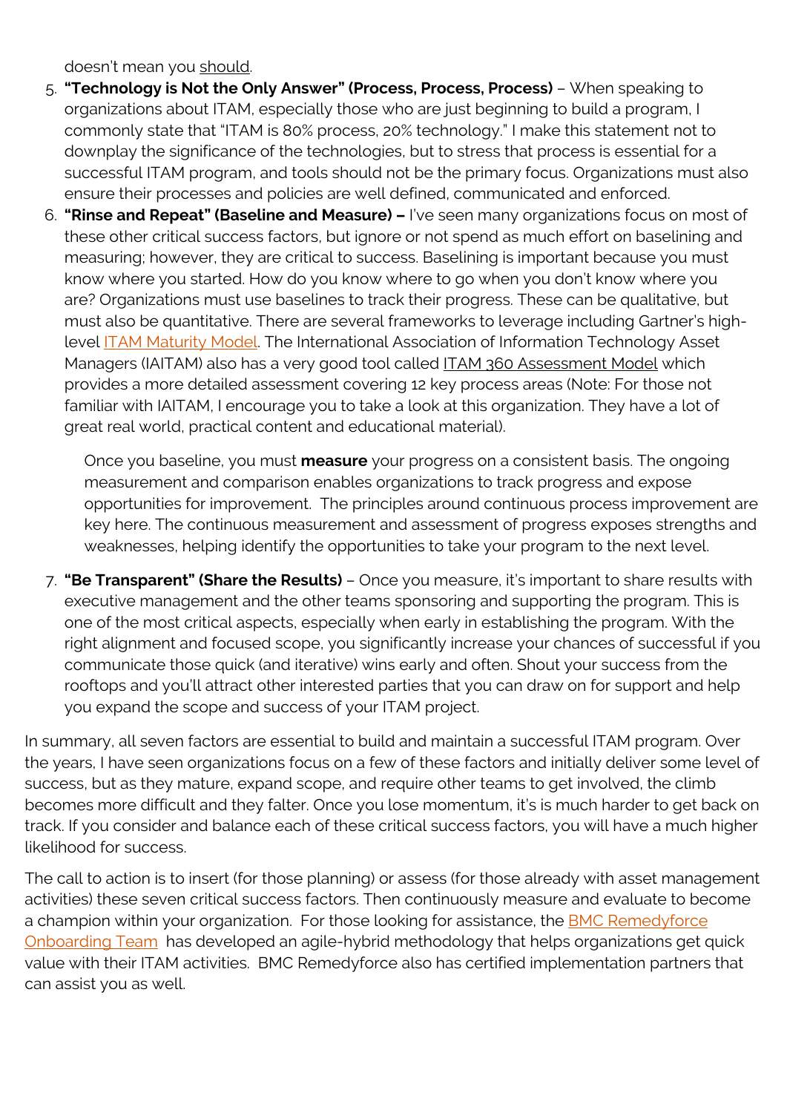doesn't mean you should.

- 5. **"Technology is Not the Only Answer" (Process, Process, Process)**  When speaking to organizations about ITAM, especially those who are just beginning to build a program, I commonly state that "ITAM is 80% process, 20% technology." I make this statement not to downplay the significance of the technologies, but to stress that process is essential for a successful ITAM program, and tools should not be the primary focus. Organizations must also ensure their processes and policies are well defined, communicated and enforced.
- 6. **"Rinse and Repeat" (Baseline and Measure)** I've seen many organizations focus on most of these other critical success factors, but ignore or not spend as much effort on baselining and measuring; however, they are critical to success. Baselining is important because you must know where you started. How do you know where to go when you don't know where you are? Organizations must use baselines to track their progress. These can be qualitative, but must also be quantitative. There are several frameworks to leverage including Gartner's highlevel [ITAM Maturity Model.](https://www.gartner.com/doc/484622/update-it-asset-management-maturity) The International Association of Information Technology Asset Managers (IAITAM) also has a very good tool called ITAM 360 Assessment Model which provides a more detailed assessment covering 12 key process areas (Note: For those not familiar with IAITAM, I encourage you to take a look at this organization. They have a lot of great real world, practical content and educational material).

Once you baseline, you must **measure** your progress on a consistent basis. The ongoing measurement and comparison enables organizations to track progress and expose opportunities for improvement. The principles around continuous process improvement are key here. The continuous measurement and assessment of progress exposes strengths and weaknesses, helping identify the opportunities to take your program to the next level.

7. **"Be Transparent" (Share the Results)** – Once you measure, it's important to share results with executive management and the other teams sponsoring and supporting the program. This is one of the most critical aspects, especially when early in establishing the program. With the right alignment and focused scope, you significantly increase your chances of successful if you communicate those quick (and iterative) wins early and often. Shout your success from the rooftops and you'll attract other interested parties that you can draw on for support and help you expand the scope and success of your ITAM project.

In summary, all seven factors are essential to build and maintain a successful ITAM program. Over the years, I have seen organizations focus on a few of these factors and initially deliver some level of success, but as they mature, expand scope, and require other teams to get involved, the climb becomes more difficult and they falter. Once you lose momentum, it's is much harder to get back on track. If you consider and balance each of these critical success factors, you will have a much higher likelihood for success.

The call to action is to insert (for those planning) or assess (for those already with asset management activities) these seven critical success factors. Then continuously measure and evaluate to become a champion within your organization. For those looking for assistance, the [BMC Remedyforce](https://blogs.bmc.com/it-services/it-consulting-services.html) [Onboarding Team](https://blogs.bmc.com/it-services/it-consulting-services.html) has developed an agile-hybrid methodology that helps organizations get quick value with their ITAM activities. BMC Remedyforce also has certified implementation partners that can assist you as well.